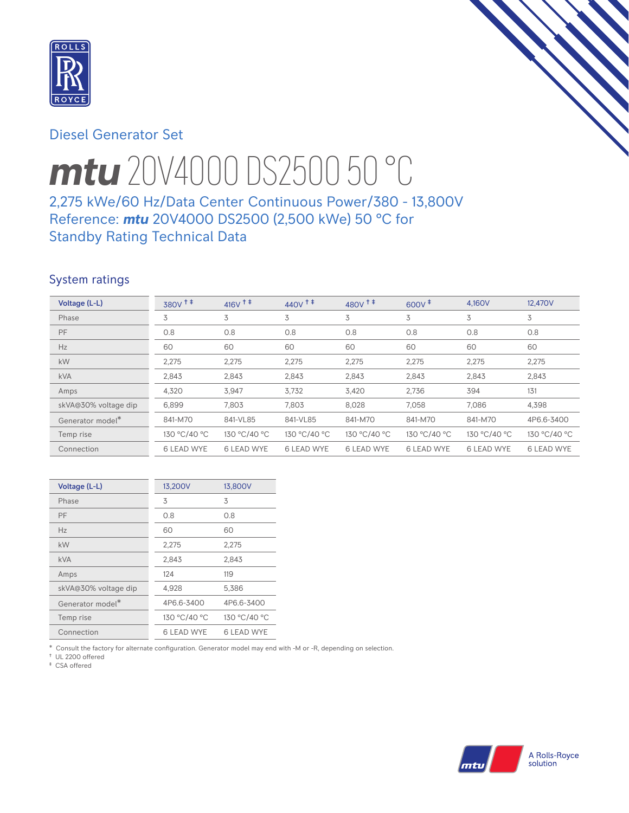

# Diesel Generator Set

# *mtu* 20V4000 DS2500 50 °C

# 2,275 kWe/60 Hz/Data Center Continuous Power/380 - 13,800V Reference: *mtu* 20V4000 DS2500 (2,500 kWe) 50 °C for Standby Rating Technical Data

# System ratings

| Voltage (L-L)        | 380V <sup>+</sup> | 416 $V$ <sup>+ +</sup> | $440V$ <sup>++</sup> | 480 $v$ <sup>+</sup> | $600V^{\ddagger}$ | 4,160V            | 12,470V           |
|----------------------|-------------------|------------------------|----------------------|----------------------|-------------------|-------------------|-------------------|
| Phase                | 3                 | 3                      | 3                    | 3                    | 3                 | 3                 | 3                 |
| <b>PF</b>            | 0.8               | 0.8                    | 0.8                  | 0.8                  | 0.8               | 0.8               | 0.8               |
| Hz                   | 60                | 60                     | 60                   | 60                   | 60                | 60                | 60                |
| kW                   | 2,275             | 2,275                  | 2,275                | 2,275                | 2,275             | 2,275             | 2,275             |
| <b>kVA</b>           | 2,843             | 2,843                  | 2,843                | 2,843                | 2,843             | 2,843             | 2,843             |
| Amps                 | 4,320             | 3,947                  | 3,732                | 3,420                | 2,736             | 394               | 131               |
| skVA@30% voltage dip | 6,899             | 7,803                  | 7,803                | 8,028                | 7.058             | 7,086             | 4,398             |
| Generator model*     | 841-M70           | 841-VL85               | 841-VL85             | 841-M70              | 841-M70           | 841-M70           | 4P6.6-3400        |
| Temp rise            | 130 °C/40 °C      | 130 °C/40 °C           | 130 °C/40 °C         | 130 °C/40 °C         | 130 °C/40 °C      | 130 °C/40 °C      | 130 °C/40 °C      |
| Connection           | <b>6 LEAD WYE</b> | <b>6 LEAD WYE</b>      | <b>6 LEAD WYE</b>    | <b>6 LEAD WYE</b>    | <b>6 LEAD WYE</b> | <b>6 LEAD WYE</b> | <b>6 LEAD WYE</b> |

| Voltage (L-L)        | 13,200V      | 13,800V      |
|----------------------|--------------|--------------|
| Phase                | 3            | 3            |
| PF                   | 0.8          | 0.8          |
| Hz                   | 60           | 60           |
| kW                   | 2,275        | 2,275        |
| <b>kVA</b>           | 2,843        | 2,843        |
| Amps                 | 124          | 119          |
| skVA@30% voltage dip | 4,928        | 5.386        |
| Generator model*     | 4P6.6-3400   | 4P6.6-3400   |
| Temp rise            | 130 °C/40 °C | 130 °C/40 °C |
| Connection           | 6 LEAD WYE   | 6 LEAD WYE   |

\* Consult the factory for alternate configuration. Generator model may end with -M or -R, depending on selection.

† UL 2200 offered

‡ CSA offered

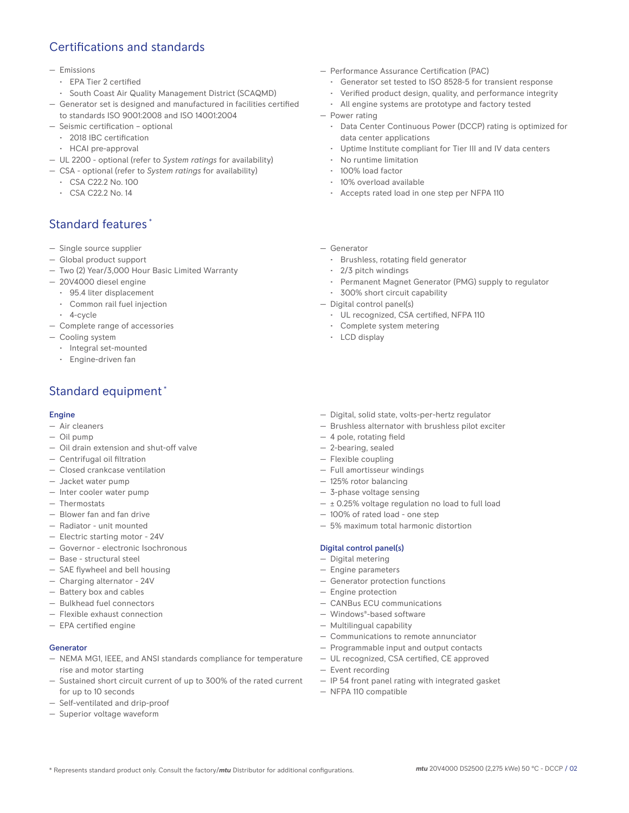# Certifications and standards

#### — Emissions

- EPA Tier 2 certified
- South Coast Air Quality Management District (SCAQMD)
- Generator set is designed and manufactured in facilities certified to standards ISO 9001:2008 and ISO 14001:2004
- Seismic certification optional
	- 2018 IBC certification
	- HCAI pre-approval
- UL 2200 optional (refer to *System ratings* for availability)
- CSA optional (refer to *System ratings* for availability)
	- CSA C22.2 No. 100
	- CSA C22.2 No. 14

# Standard features \*

- Single source supplier
- Global product support
- Two (2) Year/3,000 Hour Basic Limited Warranty
- 20V4000 diesel engine
	- 95.4 liter displacement
	- Common rail fuel injection
	- 4-cycle
- Complete range of accessories
- Cooling system
	- Integral set-mounted
	- Engine-driven fan

# Standard equipment \*

#### Engine

- Air cleaners
- Oil pump
- Oil drain extension and shut-off valve
- Centrifugal oil filtration
- Closed crankcase ventilation
- Jacket water pump
- Inter cooler water pump
- Thermostats
- Blower fan and fan drive
- Radiator unit mounted
- Electric starting motor 24V
- Governor electronic Isochronous
- Base structural steel
- SAE flywheel and bell housing
- Charging alternator 24V
- Battery box and cables
- Bulkhead fuel connectors
- Flexible exhaust connection
- EPA certified engine

## Generator

- NEMA MG1, IEEE, and ANSI standards compliance for temperature rise and motor starting
- Sustained short circuit current of up to 300% of the rated current for up to 10 seconds
- Self-ventilated and drip-proof
- Superior voltage waveform
- Performance Assurance Certification (PAC)
	- Generator set tested to ISO 8528-5 for transient response
	- Verified product design, quality, and performance integrity
	- All engine systems are prototype and factory tested
- Power rating
	- Data Center Continuous Power (DCCP) rating is optimized for data center applications
	- Uptime Institute compliant for Tier III and IV data centers
	- No runtime limitation
	- 100% load factor
	- 10% overload available
	- Accepts rated load in one step per NFPA 110
- Generator
	- Brushless, rotating field generator
	- 2/3 pitch windings
	- Permanent Magnet Generator (PMG) supply to regulator
	- 300% short circuit capability
- Digital control panel(s)
	- UL recognized, CSA certified, NFPA 110
	- Complete system metering
	- LCD display
- Digital, solid state, volts-per-hertz regulator
- Brushless alternator with brushless pilot exciter
- 4 pole, rotating field
- 2-bearing, sealed
- Flexible coupling
- Full amortisseur windings
- 125% rotor balancing
- 3-phase voltage sensing
- ± 0.25% voltage regulation no load to full load
- 100% of rated load one step
- 5% maximum total harmonic distortion

### Digital control panel(s)

- Digital metering
- Engine parameters
- Generator protection functions
- CANBus ECU communications
- Windows®-based software
- Multilingual capability
- Communications to remote annunciator
- Programmable input and output contacts
- UL recognized, CSA certified, CE approved
- Event recording
- IP 54 front panel rating with integrated gasket
- NFPA 110 compatible
- Engine protection
	-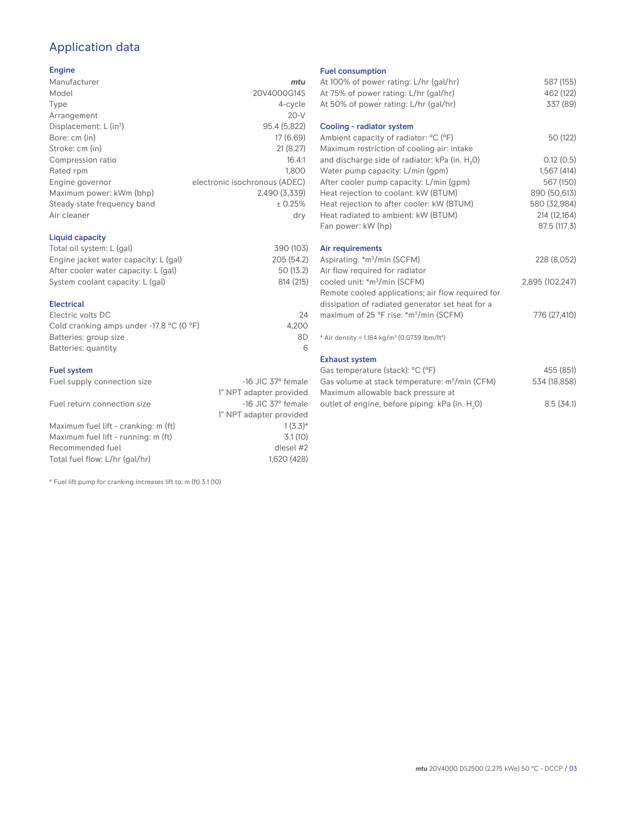# Application data

## Engine

| Manufacturer                         | mtu                           |
|--------------------------------------|-------------------------------|
| Model                                | 20V4000G14S                   |
| Type                                 | 4-cycle                       |
| Arrangement                          | $20-V$                        |
| Displacement: $L$ (in <sup>3</sup> ) | 95.4 (5,822)                  |
| Bore: cm (in)                        | 17 (6.69)                     |
| Stroke: cm (in)                      | 21(8.27)                      |
| Compression ratio                    | 16.4:1                        |
| Rated rpm                            | 1.800                         |
| Engine governor                      | electronic isochronous (ADEC) |
| Maximum power: kWm (bhp)             | 2,490 (3,339)                 |
| Steady state frequency band          | ± 0.25%                       |
| Air cleaner                          | dry                           |
|                                      |                               |

## Liquid capacity

| Total oil system: L (gal)             | 390 (103)  |
|---------------------------------------|------------|
| Engine jacket water capacity: L (gal) | 205 (54.2) |
| After cooler water capacity: L (gal)  | 50 (13.2)  |
| System coolant capacity: L (gal)      | 814 (215)  |
|                                       |            |

## Electrical

| Electric volts DC                                            | 24    |
|--------------------------------------------------------------|-------|
| Cold cranking amps under -17.8 $^{\circ}$ C (O $^{\circ}$ F) | 4.200 |
| Batteries: group size                                        | 8D    |
| Batteries: quantity                                          |       |

## Fuel system

| Fuel supply connection size          | $-16$ JIC 37 $\degree$ female |
|--------------------------------------|-------------------------------|
|                                      | 1" NPT adapter provided       |
| Fuel return connection size          | $-16$ JIC 37 $\degree$ female |
|                                      | 1" NPT adapter provided       |
| Maximum fuel lift - cranking: m (ft) | $1(3.3)*$                     |
| Maximum fuel lift - running: m (ft)  | 3.1(10)                       |
| Recommended fuel                     | diesel #2                     |
| Total fuel flow: L/hr (gal/hr)       | 1,620 (428)                   |

\* Fuel lift pump for cranking increases lift to: m (ft) 3.1 (10)

#### Fuel consumption

| At 100% of power rating: L/hr (gal/hr)                                | 587 (155)       |
|-----------------------------------------------------------------------|-----------------|
| At 75% of power rating: L/hr (gal/hr)                                 | 462 (122)       |
| At 50% of power rating: L/hr (gal/hr)                                 | 337 (89)        |
| Cooling - radiator system                                             |                 |
| Ambient capacity of radiator: °C (°F)                                 | 50 (122)        |
| Maximum restriction of cooling air: intake                            |                 |
| and discharge side of radiator: kPa (in. H <sub>2</sub> 0)            | 0.12(0.5)       |
| Water pump capacity: L/min (gpm)                                      | 1,567(414)      |
| After cooler pump capacity: L/min (gpm)                               | 567 (150)       |
| Heat rejection to coolant: kW (BTUM)                                  | 890 (50,613)    |
| Heat rejection to after cooler: kW (BTUM)                             | 580 (32,984)    |
| Heat radiated to ambient: kW (BTUM)                                   | 214 (12,164)    |
| Fan power: kW (hp)                                                    | 87.5 (117.3)    |
| Air requirements                                                      |                 |
| Aspirating: *m <sup>3</sup> /min (SCFM)                               | 228 (8,052)     |
| Air flow required for radiator                                        |                 |
| cooled unit: *m <sup>3</sup> /min (SCFM)                              | 2,895 (102,247) |
| Remote cooled applications; air flow required for                     |                 |
| dissipation of radiated generator set heat for a                      |                 |
| maximum of 25 °F rise: *m <sup>3</sup> /min (SCFM)                    | 776 (27,410)    |
|                                                                       |                 |
| * Air density = 1.184 kg/m <sup>3</sup> (0.0739 lbm/ft <sup>3</sup> ) |                 |
| <b>Exhaust system</b>                                                 |                 |
| Gas temperature (stack): °C (°F)                                      | 455 (851)       |
| Gas volume at stack temperature: m <sup>3</sup> /min (CFM)            | 534 (18,858)    |

| <u>Udd Volding at Jidch temperature. In film for Mil</u> | $00 - 110,0001$ |
|----------------------------------------------------------|-----------------|
| Maximum allowable back pressure at                       |                 |
| outlet of engine, before piping: kPa (in. H.O)           | 8.5(34.1)       |